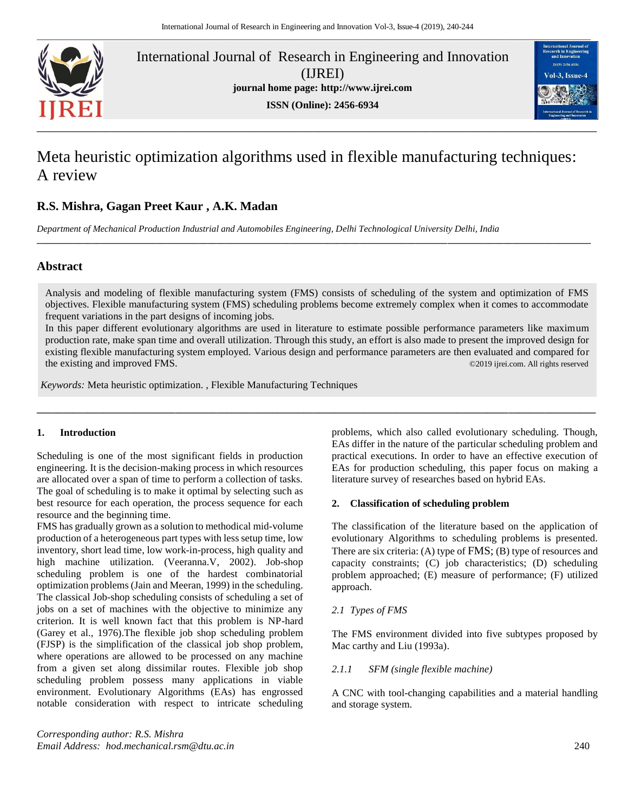

International Journal of Research in Engineering and Innovation (IJREI) **journal home page: [http://www.ijrei.com](http://www.ijrei.com/) ISSN (Online): 2456-6934**



# Meta heuristic optimization algorithms used in flexible manufacturing techniques: A review

# **R.S. Mishra, Gagan Preet Kaur , A.K. Madan**

*Department of Mechanical Production Industrial and Automobiles Engineering, Delhi Technological University Delhi, India*

# **Abstract**

Analysis and modeling of flexible manufacturing system (FMS) consists of scheduling of the system and optimization of FMS objectives. Flexible manufacturing system (FMS) scheduling problems become extremely complex when it comes to accommodate frequent variations in the part designs of incoming jobs.

**\_\_\_\_\_\_\_\_\_\_\_\_\_\_\_\_\_\_\_\_\_\_\_\_\_\_\_\_\_\_\_\_\_\_\_\_\_\_\_\_\_\_\_\_\_\_\_\_\_\_\_\_\_\_\_\_\_\_\_\_\_\_\_\_\_\_\_\_\_\_\_\_\_\_\_\_\_\_\_\_\_\_\_\_\_\_\_\_\_\_\_\_\_\_\_\_\_\_\_\_\_\_\_\_\_\_\_\_\_\_\_\_\_\_\_\_\_\_\_\_**

In this paper different evolutionary algorithms are used in literature to estimate possible performance parameters like maximum production rate, make span time and overall utilization. Through this study, an effort is also made to present the improved design for existing flexible manufacturing system employed. Various design and performance parameters are then evaluated and compared for the existing and improved FMS. The existing and improved FMS.

**\_\_\_\_\_\_\_\_\_\_\_\_\_\_\_\_\_\_\_\_\_\_\_\_\_\_\_\_\_\_\_\_\_\_\_\_\_\_\_\_\_\_\_\_\_\_\_\_\_\_\_\_\_\_\_\_\_\_\_\_\_\_\_\_\_\_\_\_\_\_\_\_\_\_\_\_\_\_\_\_\_\_\_\_\_\_\_\_\_\_\_\_\_\_\_\_\_\_\_\_\_\_\_\_\_\_\_\_\_**

*Keywords:* Meta heuristic optimization. , Flexible Manufacturing Techniques

# **1. Introduction**

engineering. It is the decision-making process in which resources are allocated over a span of time to perform a collection of tasks. The goal of scheduling is to make it optimal by selecting such as best resource for each operation, the process sequence for each resource and the beginning time.

FMS has gradually grown as a solution to methodical mid-volume production of a heterogeneous part types with less setup time, low inventory, short lead time, low work-in-process, high quality and high machine utilization. (Veeranna.V, 2002). Job-shop scheduling problem is one of the hardest combinatorial optimization problems (Jain and Meeran, 1999) in the scheduling. The classical Job-shop scheduling consists of scheduling a set of jobs on a set of machines with the objective to minimize any criterion. It is well known fact that this problem is NP-hard (Garey et al., 1976).The flexible job shop scheduling problem (FJSP) is the simplification of the classical job shop problem, where operations are allowed to be processed on any machine from a given set along dissimilar routes. Flexible job shop scheduling problem possess many applications in viable environment. Evolutionary Algorithms (EAs) has engrossed notable consideration with respect to intricate scheduling

Scheduling is one of the most significant fields in production practical executions. In order to have an effective ex problems, which also called evolutionary scheduling. Though, EAs differ in the nature of the particular scheduling problem and practical executions. In order to have an effective execution of EAs for production scheduling, this paper focus on making a literature survey of researches based on hybrid EAs.

# **2. Classification of scheduling problem**

The classification of the literature based on the application of evolutionary Algorithms to scheduling problems is presented. There are six criteria: (A) type of FMS; (B) type of resources and capacity constraints; (C) job characteristics; (D) scheduling problem approached; (E) measure of performance; (F) utilized approach.

#### *2.1 Types of FMS*

The FMS environment divided into five subtypes proposed by Mac carthy and Liu (1993a).

#### *2.1.1 SFM (single flexible machine)*

A CNC with tool-changing capabilities and a material handling and storage system.

*Corresponding author: R.S. Mishra Email Address: hod.mechanical.rsm@dtu.ac.in* 240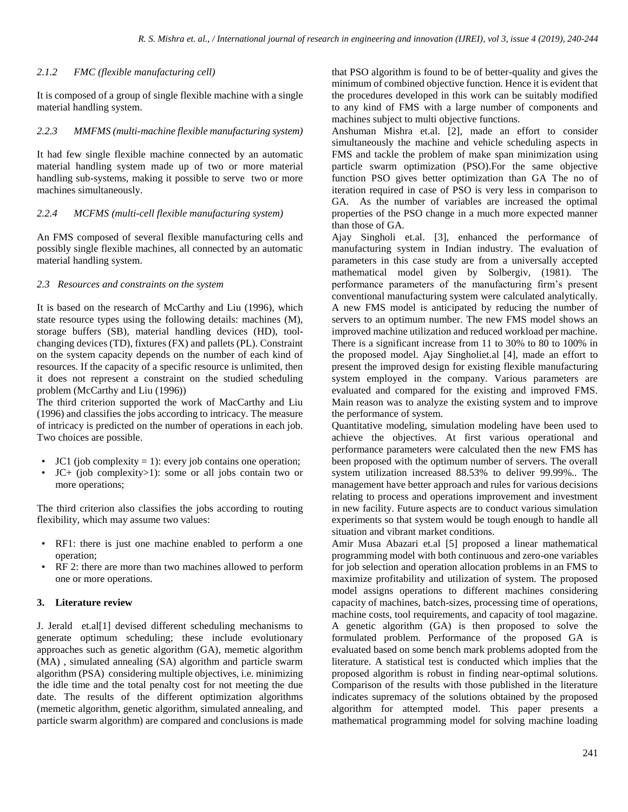# *2.1.2 FMC (flexible manufacturing cell)*

It is composed of a group of single flexible machine with a single material handling system.

#### *2.2.3 MMFMS (multi-machine flexible manufacturing system)*

It had few single flexible machine connected by an automatic material handling system made up of two or more material handling sub-systems, making it possible to serve two or more machines simultaneously.

#### *2.2.4 MCFMS (multi-cell flexible manufacturing system)*

An FMS composed of several flexible manufacturing cells and possibly single flexible machines, all connected by an automatic material handling system.

#### *2.3 Resources and constraints on the system*

It is based on the research of McCarthy and Liu (1996), which state resource types using the following details: machines (M), storage buffers (SB), material handling devices (HD), toolchanging devices (TD), fixtures (FX) and pallets (PL). Constraint on the system capacity depends on the number of each kind of resources. If the capacity of a specific resource is unlimited, then it does not represent a constraint on the studied scheduling problem (McCarthy and Liu (1996))

The third criterion supported the work of MacCarthy and Liu (1996) and classifies the jobs according to intricacy. The measure of intricacy is predicted on the number of operations in each job. Two choices are possible.

- $JCl$  (job complexity = 1): every job contains one operation;
- JC+ (job complexity>1): some or all jobs contain two or more operations;

The third criterion also classifies the jobs according to routing flexibility, which may assume two values:

- RF1: there is just one machine enabled to perform a one operation;
- RF 2: there are more than two machines allowed to perform one or more operations.

# **3. Literature review**

J. Jerald et.al[1] devised different scheduling mechanisms to generate optimum scheduling; these include evolutionary approaches such as genetic algorithm (GA), memetic algorithm (MA) , simulated annealing (SA) algorithm and particle swarm algorithm (PSA) considering multiple objectives, i.e. minimizing the idle time and the total penalty cost for not meeting the due date. The results of the different optimization algorithms (memetic algorithm, genetic algorithm, simulated annealing, and particle swarm algorithm) are compared and conclusions is made

that PSO algorithm is found to be of better-quality and gives the minimum of combined objective function. Hence it is evident that the procedures developed in this work can be suitably modified to any kind of FMS with a large number of components and machines subject to multi objective functions.

Anshuman Mishra et.al. [2], made an effort to consider simultaneously the machine and vehicle scheduling aspects in FMS and tackle the problem of make span minimization using particle swarm optimization (PSO).For the same objective function PSO gives better optimization than GA The no of iteration required in case of PSO is very less in comparison to GA. As the number of variables are increased the optimal properties of the PSO change in a much more expected manner than those of GA.

Ajay Singholi et.al. [3], enhanced the performance of manufacturing system in Indian industry. The evaluation of parameters in this case study are from a universally accepted mathematical model given by Solbergiv, (1981). The performance parameters of the manufacturing firm's present conventional manufacturing system were calculated analytically. A new FMS model is anticipated by reducing the number of servers to an optimum number. The new FMS model shows an improved machine utilization and reduced workload per machine. There is a significant increase from 11 to 30% to 80 to 100% in the proposed model. Ajay Singholiet.al [4], made an effort to present the improved design for existing flexible manufacturing system employed in the company. Various parameters are evaluated and compared for the existing and improved FMS. Main reason was to analyze the existing system and to improve the performance of system.

Quantitative modeling, simulation modeling have been used to achieve the objectives. At first various operational and performance parameters were calculated then the new FMS has been proposed with the optimum number of servers. The overall system utilization increased 88.53% to deliver 99.99%.. The management have better approach and rules for various decisions relating to process and operations improvement and investment in new facility. Future aspects are to conduct various simulation experiments so that system would be tough enough to handle all situation and vibrant market conditions.

Amir Musa Abazari et.al [5] proposed a linear mathematical programming model with both continuous and zero-one variables for job selection and operation allocation problems in an FMS to maximize profitability and utilization of system. The proposed model assigns operations to different machines considering capacity of machines, batch-sizes, processing time of operations, machine costs, tool requirements, and capacity of tool magazine. A genetic algorithm (GA) is then proposed to solve the formulated problem. Performance of the proposed GA is evaluated based on some bench mark problems adopted from the literature. A statistical test is conducted which implies that the proposed algorithm is robust in finding near-optimal solutions. Comparison of the results with those published in the literature indicates supremacy of the solutions obtained by the proposed algorithm for attempted model. This paper presents a mathematical programming model for solving machine loading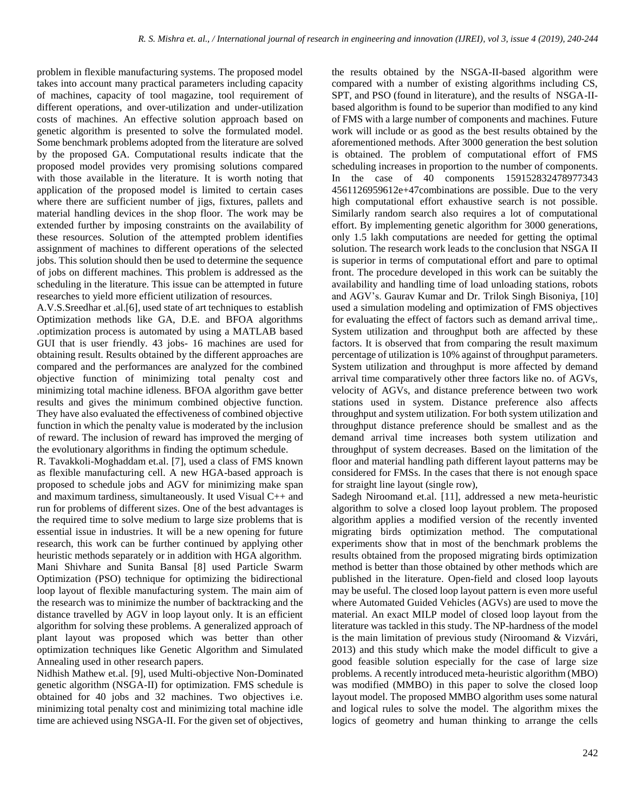problem in flexible manufacturing systems. The proposed model takes into account many practical parameters including capacity of machines, capacity of tool magazine, tool requirement of different operations, and over-utilization and under-utilization costs of machines. An effective solution approach based on genetic algorithm is presented to solve the formulated model. Some benchmark problems adopted from the literature are solved by the proposed GA. Computational results indicate that the proposed model provides very promising solutions compared with those available in the literature. It is worth noting that application of the proposed model is limited to certain cases where there are sufficient number of jigs, fixtures, pallets and material handling devices in the shop floor. The work may be extended further by imposing constraints on the availability of these resources. Solution of the attempted problem identifies assignment of machines to different operations of the selected jobs. This solution should then be used to determine the sequence of jobs on different machines. This problem is addressed as the scheduling in the literature. This issue can be attempted in future researches to yield more efficient utilization of resources.

A.V.S.Sreedhar et .al.[6], used state of art techniques to establish Optimization methods like GA, D.E. and BFOA algorithms .optimization process is automated by using a MATLAB based GUI that is user friendly. 43 jobs- 16 machines are used for obtaining result. Results obtained by the different approaches are compared and the performances are analyzed for the combined objective function of minimizing total penalty cost and minimizing total machine idleness. BFOA algorithm gave better results and gives the minimum combined objective function. They have also evaluated the effectiveness of combined objective function in which the penalty value is moderated by the inclusion of reward. The inclusion of reward has improved the merging of the evolutionary algorithms in finding the optimum schedule.

R. Tavakkoli-Moghaddam et.al. [7], used a class of FMS known as flexible manufacturing cell. A new HGA-based approach is proposed to schedule jobs and AGV for minimizing make span and maximum tardiness, simultaneously. It used Visual C++ and run for problems of different sizes. One of the best advantages is the required time to solve medium to large size problems that is essential issue in industries. It will be a new opening for future research, this work can be further continued by applying other heuristic methods separately or in addition with HGA algorithm. Mani Shivhare and Sunita Bansal [8] used Particle Swarm Optimization (PSO) technique for optimizing the bidirectional loop layout of flexible manufacturing system. The main aim of the research was to minimize the number of backtracking and the distance travelled by AGV in loop layout only. It is an efficient algorithm for solving these problems. A generalized approach of plant layout was proposed which was better than other optimization techniques like Genetic Algorithm and Simulated Annealing used in other research papers.

Nidhish Mathew et.al. [9], used Multi-objective Non-Dominated genetic algorithm (NSGA-II) for optimization. FMS schedule is obtained for 40 jobs and 32 machines. Two objectives i.e. minimizing total penalty cost and minimizing total machine idle time are achieved using NSGA-II. For the given set of objectives,

the results obtained by the NSGA-II-based algorithm were compared with a number of existing algorithms including CS, SPT, and PSO (found in literature), and the results of NSGA-IIbased algorithm is found to be superior than modified to any kind of FMS with a large number of components and machines. Future work will include or as good as the best results obtained by the aforementioned methods. After 3000 generation the best solution is obtained. The problem of computational effort of FMS scheduling increases in proportion to the number of components. In the case of 40 components 159152832478977343 4561126959612e+47combinations are possible. Due to the very high computational effort exhaustive search is not possible. Similarly random search also requires a lot of computational effort. By implementing genetic algorithm for 3000 generations, only 1.5 lakh computations are needed for getting the optimal solution. The research work leads to the conclusion that NSGA II is superior in terms of computational effort and pare to optimal front. The procedure developed in this work can be suitably the availability and handling time of load unloading stations, robots and AGV's. Gaurav Kumar and Dr. Trilok Singh Bisoniya, [10] used a simulation modeling and optimization of FMS objectives for evaluating the effect of factors such as demand arrival time,. System utilization and throughput both are affected by these factors. It is observed that from comparing the result maximum percentage of utilization is 10% against of throughput parameters. System utilization and throughput is more affected by demand arrival time comparatively other three factors like no. of AGVs, velocity of AGVs, and distance preference between two work stations used in system. Distance preference also affects throughput and system utilization. For both system utilization and throughput distance preference should be smallest and as the demand arrival time increases both system utilization and throughput of system decreases. Based on the limitation of the floor and material handling path different layout patterns may be considered for FMSs. In the cases that there is not enough space for straight line layout (single row),

Sadegh Niroomand et.al. [11], addressed a new meta-heuristic algorithm to solve a closed loop layout problem. The proposed algorithm applies a modified version of the recently invented migrating birds optimization method. The computational experiments show that in most of the benchmark problems the results obtained from the proposed migrating birds optimization method is better than those obtained by other methods which are published in the literature. Open-field and closed loop layouts may be useful. The closed loop layout pattern is even more useful where Automated Guided Vehicles (AGVs) are used to move the material. An exact MILP model of closed loop layout from the literature was tackled in this study. The NP-hardness of the model is the main limitation of previous study (Niroomand & Vizvári, 2013) and this study which make the model difficult to give a good feasible solution especially for the case of large size problems. A recently introduced meta-heuristic algorithm (MBO) was modified (MMBO) in this paper to solve the closed loop layout model. The proposed MMBO algorithm uses some natural and logical rules to solve the model. The algorithm mixes the logics of geometry and human thinking to arrange the cells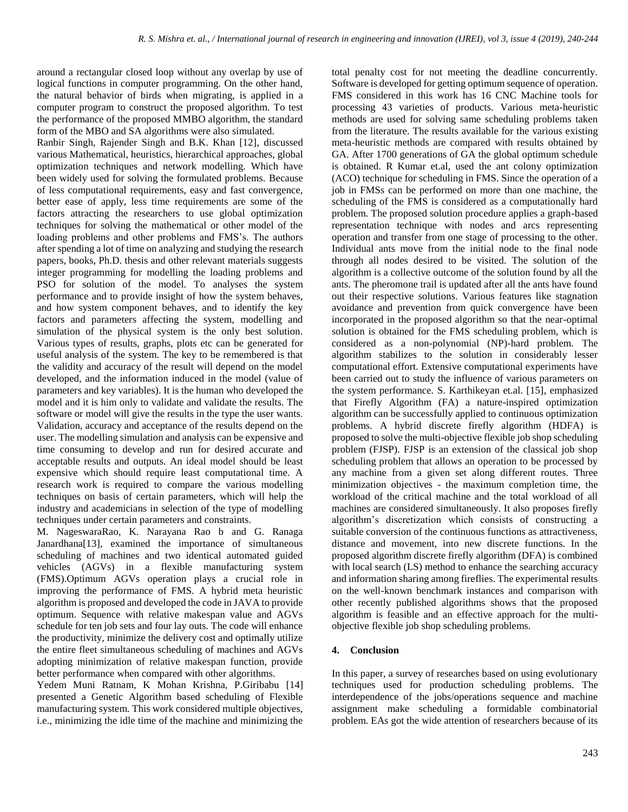around a rectangular closed loop without any overlap by use of logical functions in computer programming. On the other hand, the natural behavior of birds when migrating, is applied in a computer program to construct the proposed algorithm. To test the performance of the proposed MMBO algorithm, the standard form of the MBO and SA algorithms were also simulated.

Ranbir Singh, Rajender Singh and B.K. Khan [12], discussed various Mathematical, heuristics, hierarchical approaches, global optimization techniques and network modelling. Which have been widely used for solving the formulated problems. Because of less computational requirements, easy and fast convergence, better ease of apply, less time requirements are some of the factors attracting the researchers to use global optimization techniques for solving the mathematical or other model of the loading problems and other problems and FMS's. The authors after spending a lot of time on analyzing and studying the research papers, books, Ph.D. thesis and other relevant materials suggests integer programming for modelling the loading problems and PSO for solution of the model. To analyses the system performance and to provide insight of how the system behaves, and how system component behaves, and to identify the key factors and parameters affecting the system, modelling and simulation of the physical system is the only best solution. Various types of results, graphs, plots etc can be generated for useful analysis of the system. The key to be remembered is that the validity and accuracy of the result will depend on the model developed, and the information induced in the model (value of parameters and key variables). It is the human who developed the model and it is him only to validate and validate the results. The software or model will give the results in the type the user wants. Validation, accuracy and acceptance of the results depend on the user. The modelling simulation and analysis can be expensive and time consuming to develop and run for desired accurate and acceptable results and outputs. An ideal model should be least expensive which should require least computational time. A research work is required to compare the various modelling techniques on basis of certain parameters, which will help the industry and academicians in selection of the type of modelling techniques under certain parameters and constraints.

M. NageswaraRao, K. Narayana Rao b and G. Ranaga Janardhana[13], examined the importance of simultaneous scheduling of machines and two identical automated guided vehicles (AGVs) in a flexible manufacturing system (FMS).Optimum AGVs operation plays a crucial role in improving the performance of FMS. A hybrid meta heuristic algorithm is proposed and developed the code in JAVA to provide optimum. Sequence with relative makespan value and AGVs schedule for ten job sets and four lay outs. The code will enhance the productivity, minimize the delivery cost and optimally utilize the entire fleet simultaneous scheduling of machines and AGVs adopting minimization of relative makespan function, provide better performance when compared with other algorithms.

Yedem Muni Ratnam, K Mohan Krishna, P.Giribabu [14] presented a Genetic Algorithm based scheduling of Flexible manufacturing system. This work considered multiple objectives, i.e., minimizing the idle time of the machine and minimizing the

total penalty cost for not meeting the deadline concurrently. Software is developed for getting optimum sequence of operation. FMS considered in this work has 16 CNC Machine tools for processing 43 varieties of products. Various meta-heuristic methods are used for solving same scheduling problems taken from the literature. The results available for the various existing meta-heuristic methods are compared with results obtained by GA. After 1700 generations of GA the global optimum schedule is obtained. R Kumar et.al, used the ant colony optimization (ACO) technique for scheduling in FMS. Since the operation of a job in FMSs can be performed on more than one machine, the scheduling of the FMS is considered as a computationally hard problem. The proposed solution procedure applies a graph-based representation technique with nodes and arcs representing operation and transfer from one stage of processing to the other. Individual ants move from the initial node to the final node through all nodes desired to be visited. The solution of the algorithm is a collective outcome of the solution found by all the ants. The pheromone trail is updated after all the ants have found out their respective solutions. Various features like stagnation avoidance and prevention from quick convergence have been incorporated in the proposed algorithm so that the near-optimal solution is obtained for the FMS scheduling problem, which is considered as a non-polynomial (NP)-hard problem. The algorithm stabilizes to the solution in considerably lesser computational effort. Extensive computational experiments have been carried out to study the influence of various parameters on the system performance. S. Karthikeyan et.al. [15], emphasized that Firefly Algorithm (FA) a nature-inspired optimization algorithm can be successfully applied to continuous optimization problems. A hybrid discrete firefly algorithm (HDFA) is proposed to solve the multi-objective flexible job shop scheduling problem (FJSP). FJSP is an extension of the classical job shop scheduling problem that allows an operation to be processed by any machine from a given set along different routes. Three minimization objectives - the maximum completion time, the workload of the critical machine and the total workload of all machines are considered simultaneously. It also proposes firefly algorithm's discretization which consists of constructing a suitable conversion of the continuous functions as attractiveness, distance and movement, into new discrete functions. In the proposed algorithm discrete firefly algorithm (DFA) is combined with local search (LS) method to enhance the searching accuracy and information sharing among fireflies. The experimental results on the well-known benchmark instances and comparison with other recently published algorithms shows that the proposed algorithm is feasible and an effective approach for the multiobjective flexible job shop scheduling problems.

# **4. Conclusion**

In this paper, a survey of researches based on using evolutionary techniques used for production scheduling problems. The interdependence of the jobs/operations sequence and machine assignment make scheduling a formidable combinatorial problem. EAs got the wide attention of researchers because of its